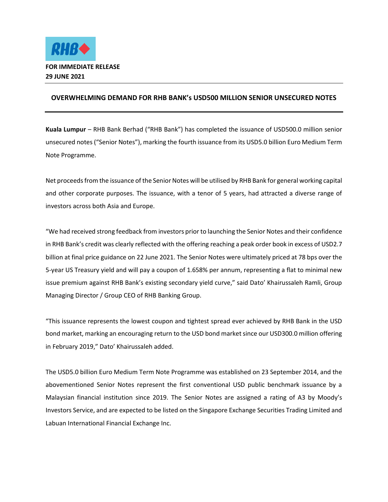

## **OVERWHELMING DEMAND FOR RHB BANK's USD500 MILLION SENIOR UNSECURED NOTES**

**Kuala Lumpur** – RHB Bank Berhad ("RHB Bank") has completed the issuance of USD500.0 million senior unsecured notes ("Senior Notes"), marking the fourth issuance from its USD5.0 billion Euro Medium Term Note Programme.

Net proceeds from the issuance of the Senior Notes will be utilised by RHB Bank for general working capital and other corporate purposes. The issuance, with a tenor of 5 years, had attracted a diverse range of investors across both Asia and Europe.

"We had received strong feedback from investors prior to launching the Senior Notes and their confidence in RHB Bank's credit was clearly reflected with the offering reaching a peak order book in excess of USD2.7 billion at final price guidance on 22 June 2021. The Senior Notes were ultimately priced at 78 bps over the 5-year US Treasury yield and will pay a coupon of 1.658% per annum, representing a flat to minimal new issue premium against RHB Bank's existing secondary yield curve," said Dato' Khairussaleh Ramli, Group Managing Director / Group CEO of RHB Banking Group.

"This issuance represents the lowest coupon and tightest spread ever achieved by RHB Bank in the USD bond market, marking an encouraging return to the USD bond market since our USD300.0 million offering in February 2019," Dato' Khairussaleh added.

The USD5.0 billion Euro Medium Term Note Programme was established on 23 September 2014, and the abovementioned Senior Notes represent the first conventional USD public benchmark issuance by a Malaysian financial institution since 2019. The Senior Notes are assigned a rating of A3 by Moody's Investors Service, and are expected to be listed on the Singapore Exchange Securities Trading Limited and Labuan International Financial Exchange Inc.